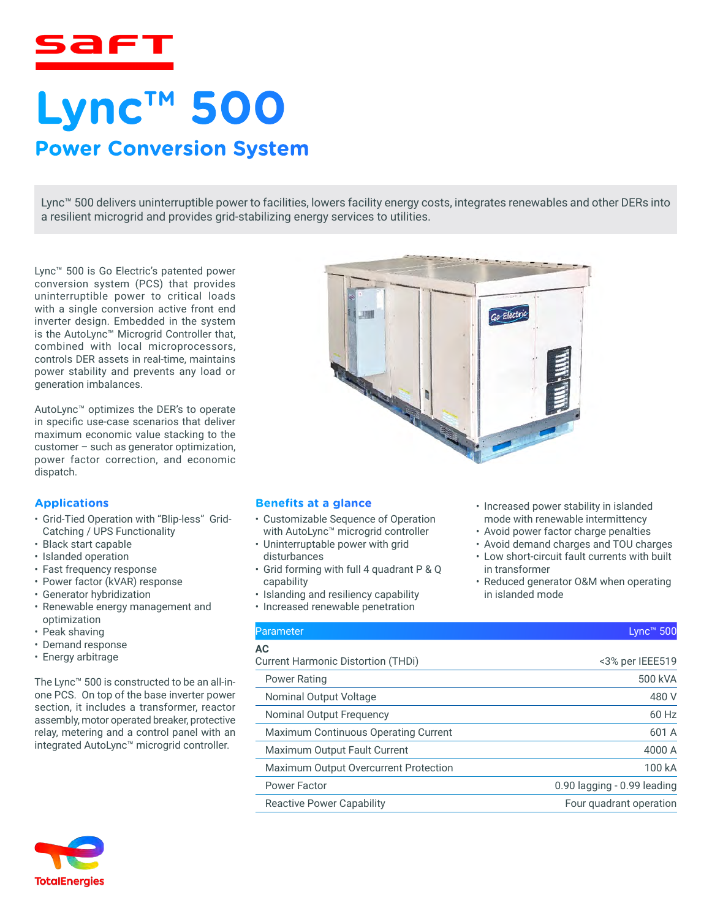

# **Lync™ 500 Power Conversion System**

Lync™ 500 delivers uninterruptible power to facilities, lowers facility energy costs, integrates renewables and other DERs into a resilient microgrid and provides grid-stabilizing energy services to utilities.

Lync™ 500 is Go Electric's patented power conversion system (PCS) that provides uninterruptible power to critical loads with a single conversion active front end inverter design. Embedded in the system is the AutoLync™ Microgrid Controller that, combined with local microprocessors, controls DER assets in real-time, maintains power stability and prevents any load or generation imbalances.

AutoLync™ optimizes the DER's to operate in specific use-case scenarios that deliver maximum economic value stacking to the customer – such as generator optimization, power factor correction, and economic dispatch.

#### **Applications**

- Grid-Tied Operation with "Blip-less" Grid-Catching / UPS Functionality
- Black start capable
- Islanded operation
- Fast frequency response
- Power factor (kVAR) response
- Generator hybridization
- Renewable energy management and optimization
- Peak shaving
- Demand response
- Energy arbitrage

The Lync™ 500 is constructed to be an all-inone PCS. On top of the base inverter power section, it includes a transformer, reactor assembly, motor operated breaker, protective relay, metering and a control panel with an integrated AutoLync™ microgrid controller.





• Increased power stability in islanded mode with renewable intermittency • Avoid power factor charge penalties • Avoid demand charges and TOU charges • Low short-circuit fault currents with built

• Reduced generator O&M when operating

in transformer

in islanded mode

### **Benefits at a glance**

- Customizable Sequence of Operation with AutoLync™ microgrid controller
- Uninterruptable power with grid disturbances
- Grid forming with full 4 quadrant P & Q capability
- Islanding and resiliency capability
- Increased renewable penetration

# Parameter Lync™ 500

# **AC**

Current Harmonic Distortion (THDi) <3% per IEEE519

Power Rating **Figure 2018 Power Rating 500 kVA** Nominal Output Voltage 480 V Nominal Output Frequency **60 Hz** Maximum Continuous Operating Current 601 A Maximum Output Fault Current 4000 A Maximum Output Overcurrent Protection 100 kA Power Factor **Contracts** Contracts Contract Contracts Contract Contracts O.90 lagging - 0.99 leading Reactive Power Capability Four quadrant operation